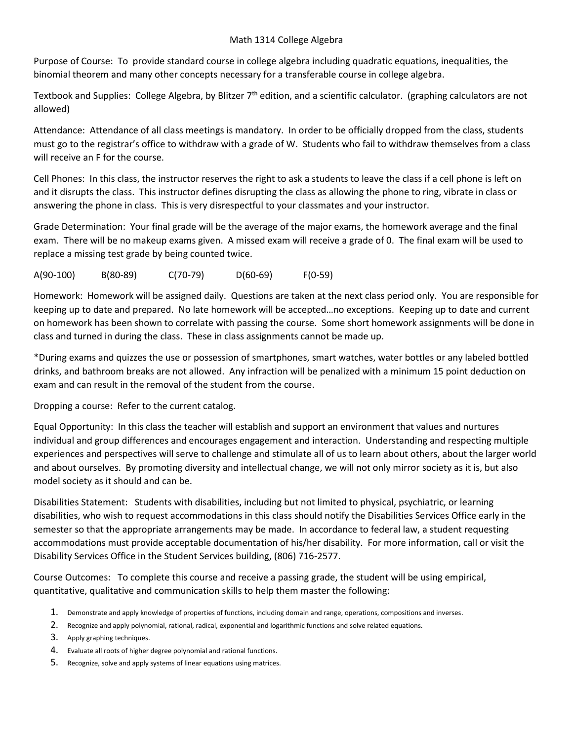## Math 1314 College Algebra

Purpose of Course: To provide standard course in college algebra including quadratic equations, inequalities, the binomial theorem and many other concepts necessary for a transferable course in college algebra.

Textbook and Supplies: College Algebra, by Blitzer  $7<sup>th</sup>$  edition, and a scientific calculator. (graphing calculators are not allowed)

Attendance: Attendance of all class meetings is mandatory. In order to be officially dropped from the class, students must go to the registrar's office to withdraw with a grade of W. Students who fail to withdraw themselves from a class will receive an F for the course.

Cell Phones: In this class, the instructor reserves the right to ask a students to leave the class if a cell phone is left on and it disrupts the class. This instructor defines disrupting the class as allowing the phone to ring, vibrate in class or answering the phone in class. This is very disrespectful to your classmates and your instructor.

Grade Determination: Your final grade will be the average of the major exams, the homework average and the final exam. There will be no makeup exams given. A missed exam will receive a grade of 0. The final exam will be used to replace a missing test grade by being counted twice.

A(90-100) B(80-89) C(70-79) D(60-69) F(0-59)

Homework: Homework will be assigned daily. Questions are taken at the next class period only. You are responsible for keeping up to date and prepared. No late homework will be accepted…no exceptions. Keeping up to date and current on homework has been shown to correlate with passing the course. Some short homework assignments will be done in class and turned in during the class. These in class assignments cannot be made up.

\*During exams and quizzes the use or possession of smartphones, smart watches, water bottles or any labeled bottled drinks, and bathroom breaks are not allowed. Any infraction will be penalized with a minimum 15 point deduction on exam and can result in the removal of the student from the course.

Dropping a course: Refer to the current catalog.

Equal Opportunity: In this class the teacher will establish and support an environment that values and nurtures individual and group differences and encourages engagement and interaction. Understanding and respecting multiple experiences and perspectives will serve to challenge and stimulate all of us to learn about others, about the larger world and about ourselves. By promoting diversity and intellectual change, we will not only mirror society as it is, but also model society as it should and can be.

Disabilities Statement: Students with disabilities, including but not limited to physical, psychiatric, or learning disabilities, who wish to request accommodations in this class should notify the Disabilities Services Office early in the semester so that the appropriate arrangements may be made. In accordance to federal law, a student requesting accommodations must provide acceptable documentation of his/her disability. For more information, call or visit the Disability Services Office in the Student Services building, (806) 716-2577.

Course Outcomes: To complete this course and receive a passing grade, the student will be using empirical, quantitative, qualitative and communication skills to help them master the following:

- 1. Demonstrate and apply knowledge of properties of functions, including domain and range, operations, compositions and inverses.
- 2. Recognize and apply polynomial, rational, radical, exponential and logarithmic functions and solve related equations.
- 3. Apply graphing techniques.
- 4. Evaluate all roots of higher degree polynomial and rational functions.
- 5. Recognize, solve and apply systems of linear equations using matrices.